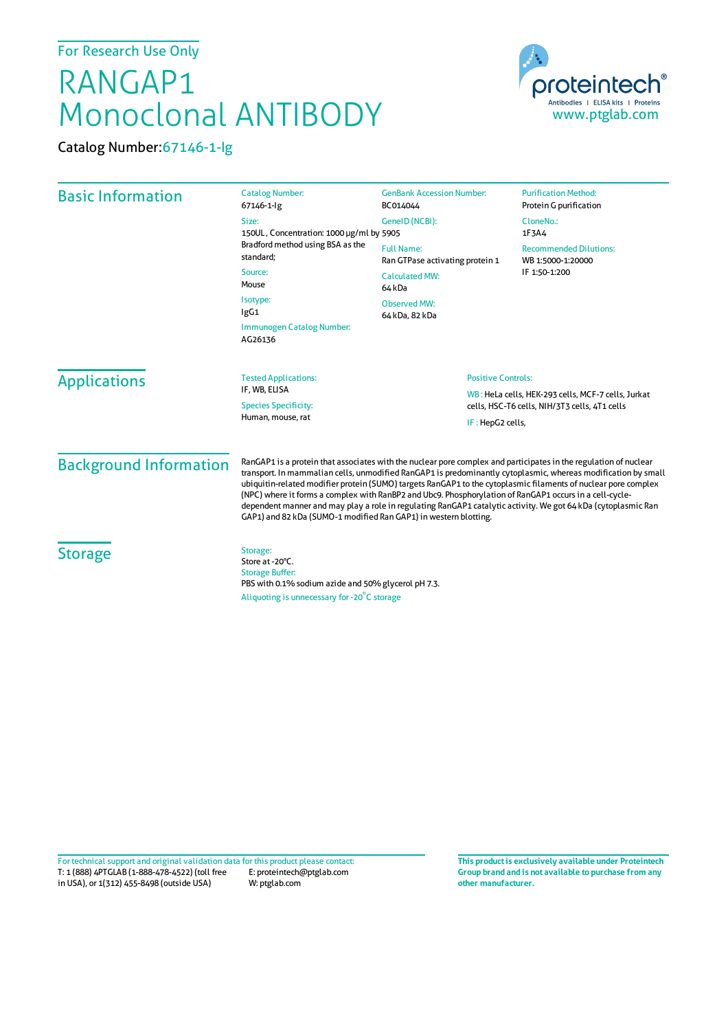For Research Use Only

## RANGAP1 Monoclonal ANTIBODY



Catalog Number:67146-1-Ig

| <b>Basic Information</b>      | <b>Catalog Number:</b><br>67146-1-lg<br>Size:<br>150UL, Concentration: 1000 µg/ml by 5905<br>Bradford method using BSA as the<br>standard;<br>Source:<br>Mouse<br>Isotype:<br>IgG1<br>Immunogen Catalog Number:<br>AG26136                                                                                                                                                                                                                                                                                                                                                                                                                          | <b>GenBank Accession Number:</b><br>BC014044<br>GeneID (NCBI):                                                                                       | <b>Purification Method:</b><br>Protein G purification<br>CloneNo.:<br>1F3A4 |
|-------------------------------|-----------------------------------------------------------------------------------------------------------------------------------------------------------------------------------------------------------------------------------------------------------------------------------------------------------------------------------------------------------------------------------------------------------------------------------------------------------------------------------------------------------------------------------------------------------------------------------------------------------------------------------------------------|------------------------------------------------------------------------------------------------------------------------------------------------------|-----------------------------------------------------------------------------|
|                               |                                                                                                                                                                                                                                                                                                                                                                                                                                                                                                                                                                                                                                                     | <b>Full Name:</b><br>Ran GTPase activating protein 1<br><b>Calculated MW:</b><br>64 kDa<br><b>Observed MW:</b><br>64 kDa, 82 kDa                     | <b>Recommended Dilutions:</b><br>WB 1:5000-1:20000<br>IF 1:50-1:200         |
| <b>Applications</b>           | <b>Tested Applications:</b><br>IF. WB. ELISA<br><b>Species Specificity:</b><br>Human, mouse, rat                                                                                                                                                                                                                                                                                                                                                                                                                                                                                                                                                    | <b>Positive Controls:</b><br>WB: HeLa cells, HEK-293 cells, MCF-7 cells, Jurkat<br>cells, HSC-T6 cells, NIH/3T3 cells, 4T1 cells<br>IF: HepG2 cells, |                                                                             |
| <b>Background Information</b> | RanGAP1 is a protein that associates with the nuclear pore complex and participates in the regulation of nuclear<br>transport. In mammalian cells, unmodified RanGAP1 is predominantly cytoplasmic, whereas modification by small<br>ubiquitin-related modifier protein (SUMO) targets RanGAP1 to the cytoplasmic filaments of nuclear pore complex<br>(NPC) where it forms a complex with RanBP2 and Ubc9. Phosphorylation of RanGAP1 occurs in a cell-cycle-<br>dependent manner and may play a role in regulating RanGAP1 catalytic activity. We got 64 kDa (cytoplasmic Ran<br>GAP1) and 82 kDa (SUMO-1 modified Ran GAP1) in western blotting. |                                                                                                                                                      |                                                                             |
| <b>Storage</b>                | Storage:<br>Store at -20°C.<br><b>Storage Buffer:</b><br>PBS with 0.1% sodium azide and 50% glycerol pH 7.3.                                                                                                                                                                                                                                                                                                                                                                                                                                                                                                                                        |                                                                                                                                                      |                                                                             |

Aliquoting is unnecessary for -20<sup>°</sup>C storage

T: 1 (888) 4PTGLAB (1-888-478-4522) (toll free E: proteintech@ptglab.com in USA), or 1(312) 455-8498 (outside USA) W: ptglab.com Fortechnical support and original validation data forthis product please contact: **This productis exclusively available under Proteintech**

**Group brand and is not available to purchase from any other manufacturer.**